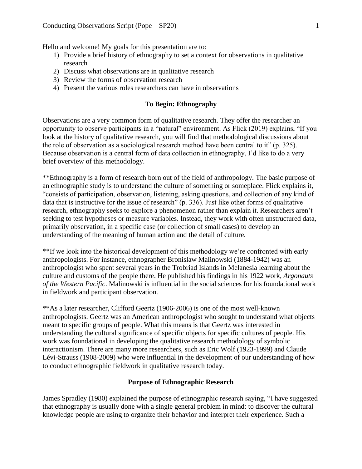Hello and welcome! My goals for this presentation are to:

- 1) Provide a brief history of ethnography to set a context for observations in qualitative research
- 2) Discuss what observations are in qualitative research
- 3) Review the forms of observation research
- 4) Present the various roles researchers can have in observations

# **To Begin: Ethnography**

Observations are a very common form of qualitative research. They offer the researcher an opportunity to observe participants in a "natural" environment. As Flick (2019) explains, "If you look at the history of qualitative research, you will find that methodological discussions about the role of observation as a sociological research method have been central to it" (p. 325). Because observation is a central form of data collection in ethnography, I'd like to do a very brief overview of this methodology.

\*\*Ethnography is a form of research born out of the field of anthropology. The basic purpose of an ethnographic study is to understand the culture of something or someplace. Flick explains it, "consists of participation, observation, listening, asking questions, and collection of any kind of data that is instructive for the issue of research" (p. 336). Just like other forms of qualitative research, ethnography seeks to explore a phenomenon rather than explain it. Researchers aren't seeking to test hypotheses or measure variables. Instead, they work with often unstructured data, primarily observation, in a specific case (or collection of small cases) to develop an understanding of the meaning of human action and the detail of culture.

\*\*If we look into the historical development of this methodology we're confronted with early anthropologists. For instance, ethnographer Bronislaw Malinowski (1884-1942) was an anthropologist who spent several years in the Trobriad Islands in Melanesia learning about the culture and customs of the people there. He published his findings in his 1922 work, *Argonauts of the Western Pacific*. Malinowski is influential in the social sciences for his foundational work in fieldwork and participant observation.

\*\*As a later researcher, Clifford Geertz (1906-2006) is one of the most well-known anthropologists. Geertz was an American anthropologist who sought to understand what objects meant to specific groups of people. What this means is that Geertz was interested in understanding the cultural significance of specific objects for specific cultures of people. His work was foundational in developing the qualitative research methodology of symbolic interactionism. There are many more researchers, such as Eric Wolf (1923-1999) and Claude Lévi-Strauss (1908-2009) who were influential in the development of our understanding of how to conduct ethnographic fieldwork in qualitative research today.

## **Purpose of Ethnographic Research**

James Spradley (1980) explained the purpose of ethnographic research saying, "I have suggested that ethnography is usually done with a single general problem in mind: to discover the cultural knowledge people are using to organize their behavior and interpret their experience. Such a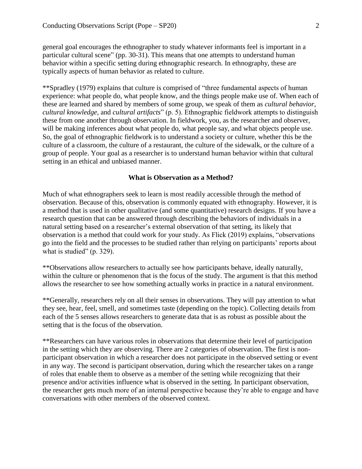general goal encourages the ethnographer to study whatever informants feel is important in a particular cultural scene" (pp. 30-31). This means that one attempts to understand human behavior within a specific setting during ethnographic research. In ethnography, these are typically aspects of human behavior as related to culture.

\*\*Spradley (1979) explains that culture is comprised of "three fundamental aspects of human experience: what people do, what people know, and the things people make use of. When each of these are learned and shared by members of some group, we speak of them as *cultural behavior, cultural knowledge,* and *cultural artifacts*" (p. 5). Ethnographic fieldwork attempts to distinguish these from one another through observation. In fieldwork, you, as the researcher and observer, will be making inferences about what people do, what people say, and what objects people use. So, the goal of ethnographic fieldwork is to understand a society or culture, whether this be the culture of a classroom, the culture of a restaurant, the culture of the sidewalk, or the culture of a group of people. Your goal as a researcher is to understand human behavior within that cultural setting in an ethical and unbiased manner.

### **What is Observation as a Method?**

Much of what ethnographers seek to learn is most readily accessible through the method of observation. Because of this, observation is commonly equated with ethnography. However, it is a method that is used in other qualitative (and some quantitative) research designs. If you have a research question that can be answered through describing the behaviors of individuals in a natural setting based on a researcher's external observation of that setting, its likely that observation is a method that could work for your study. As Flick (2019) explains, "observations go into the field and the processes to be studied rather than relying on participants' reports about what is studied" (p. 329).

\*\*Observations allow researchers to actually see how participants behave, ideally naturally, within the culture or phenomenon that is the focus of the study. The argument is that this method allows the researcher to see how something actually works in practice in a natural environment.

\*\*Generally, researchers rely on all their senses in observations. They will pay attention to what they see, hear, feel, smell, and sometimes taste (depending on the topic). Collecting details from each of the 5 senses allows researchers to generate data that is as robust as possible about the setting that is the focus of the observation.

\*\*Researchers can have various roles in observations that determine their level of participation in the setting which they are observing. There are 2 categories of observation. The first is nonparticipant observation in which a researcher does not participate in the observed setting or event in any way. The second is participant observation, during which the researcher takes on a range of roles that enable them to observe as a member of the setting while recognizing that their presence and/or activities influence what is observed in the setting. In participant observation, the researcher gets much more of an internal perspective because they're able to engage and have conversations with other members of the observed context.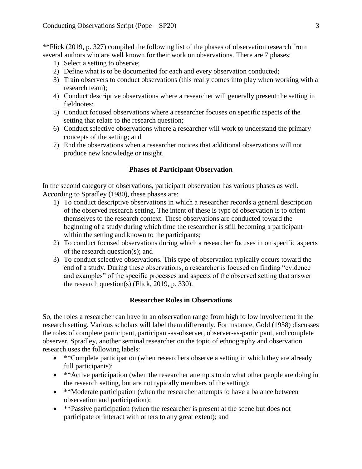\*\*Flick (2019, p. 327) compiled the following list of the phases of observation research from several authors who are well known for their work on observations. There are 7 phases:

- 1) Select a setting to observe;
- 2) Define what is to be documented for each and every observation conducted;
- 3) Train observers to conduct observations (this really comes into play when working with a research team);
- 4) Conduct descriptive observations where a researcher will generally present the setting in fieldnotes;
- 5) Conduct focused observations where a researcher focuses on specific aspects of the setting that relate to the research question;
- 6) Conduct selective observations where a researcher will work to understand the primary concepts of the setting; and
- 7) End the observations when a researcher notices that additional observations will not produce new knowledge or insight.

## **Phases of Participant Observation**

In the second category of observations, participant observation has various phases as well. According to Spradley (1980), these phases are:

- 1) To conduct descriptive observations in which a researcher records a general description of the observed research setting. The intent of these is type of observation is to orient themselves to the research context. These observations are conducted toward the beginning of a study during which time the researcher is still becoming a participant within the setting and known to the participants;
- 2) To conduct focused observations during which a researcher focuses in on specific aspects of the research question(s); and
- 3) To conduct selective observations. This type of observation typically occurs toward the end of a study. During these observations, a researcher is focused on finding "evidence and examples" of the specific processes and aspects of the observed setting that answer the research question(s) (Flick, 2019, p. 330).

### **Researcher Roles in Observations**

So, the roles a researcher can have in an observation range from high to low involvement in the research setting. Various scholars will label them differently. For instance, Gold (1958) discusses the roles of complete participant, participant-as-observer, observer-as-participant, and complete observer. Spradley, another seminal researcher on the topic of ethnography and observation research uses the following labels:

- \*\*Complete participation (when researchers observe a setting in which they are already full participants);
- \*\*Active participation (when the researcher attempts to do what other people are doing in the research setting, but are not typically members of the setting);
- \*\*Moderate participation (when the researcher attempts to have a balance between observation and participation);
- \*\*Passive participation (when the researcher is present at the scene but does not participate or interact with others to any great extent); and